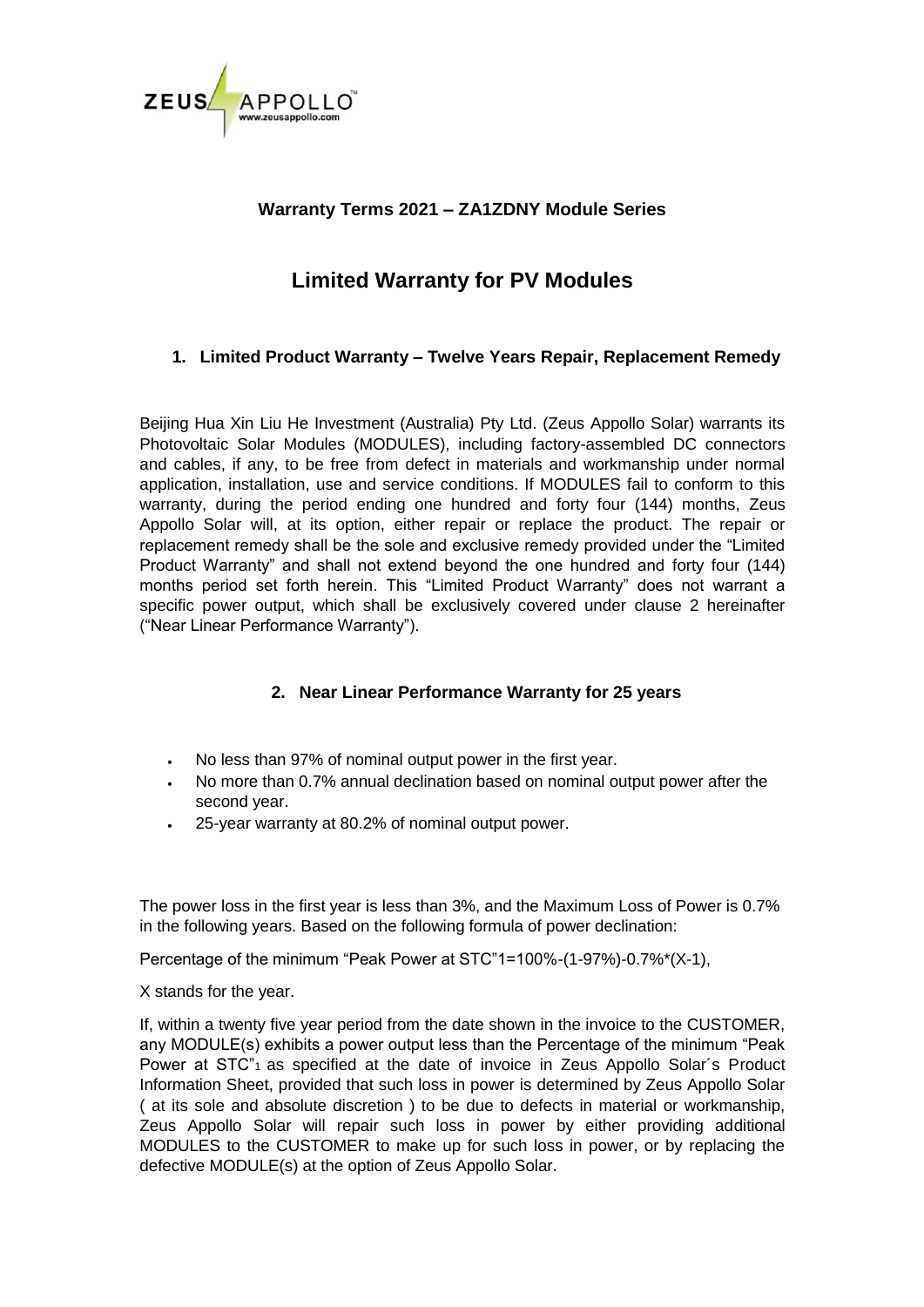

## **Warranty Terms 2021 – ZA1ZDNY Module Series**

# **Limited Warranty for PV Modules**

## **1. Limited Product Warranty – Twelve Years Repair, Replacement Remedy**

Beijing Hua Xin Liu He Investment (Australia) Pty Ltd. (Zeus Appollo Solar) warrants its Photovoltaic Solar Modules (MODULES), including factory-assembled DC connectors and cables, if any, to be free from defect in materials and workmanship under normal application, installation, use and service conditions. If MODULES fail to conform to this warranty, during the period ending one hundred and forty four (144) months, Zeus Appollo Solar will, at its option, either repair or replace the product. The repair or replacement remedy shall be the sole and exclusive remedy provided under the "Limited Product Warranty" and shall not extend beyond the one hundred and forty four (144) months period set forth herein. This "Limited Product Warranty" does not warrant a specific power output, which shall be exclusively covered under clause 2 hereinafter ("Near Linear Performance Warranty").

## **2. Near Linear Performance Warranty for 25 years**

- No less than 97% of nominal output power in the first year.
- No more than 0.7% annual declination based on nominal output power after the second year.
- 25-year warranty at 80.2% of nominal output power.

The power loss in the first year is less than 3%, and the Maximum Loss of Power is 0.7% in the following years. Based on the following formula of power declination:

Percentage of the minimum "Peak Power at STC"1=100%-(1-97%)-0.7%\*(X-1),

#### X stands for the year.

If, within a twenty five year period from the date shown in the invoice to the CUSTOMER, any MODULE(s) exhibits a power output less than the Percentage of the minimum "Peak Power at STC"1 as specified at the date of invoice in Zeus Appollo Solar´s Product Information Sheet, provided that such loss in power is determined by Zeus Appollo Solar ( at its sole and absolute discretion ) to be due to defects in material or workmanship, Zeus Appollo Solar will repair such loss in power by either providing additional MODULES to the CUSTOMER to make up for such loss in power, or by replacing the defective MODULE(s) at the option of Zeus Appollo Solar.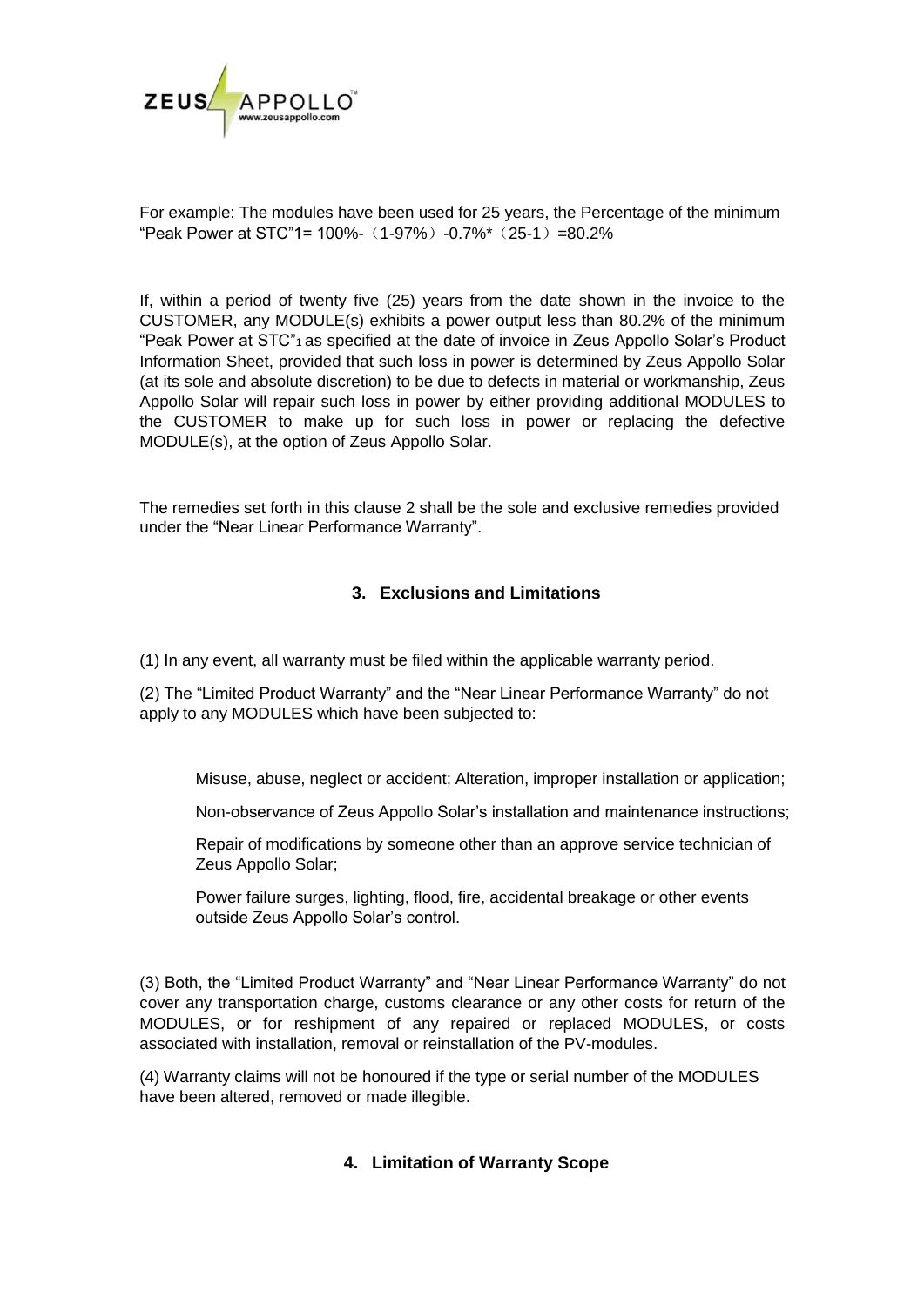

For example: The modules have been used for 25 years, the Percentage of the minimum "Peak Power at STC"1= 100%-(1-97%)-0.7%\*(25-1)=80.2%

If, within a period of twenty five (25) years from the date shown in the invoice to the CUSTOMER, any MODULE(s) exhibits a power output less than 80.2% of the minimum "Peak Power at STC"1 as specified at the date of invoice in Zeus Appollo Solar's Product Information Sheet, provided that such loss in power is determined by Zeus Appollo Solar (at its sole and absolute discretion) to be due to defects in material or workmanship, Zeus Appollo Solar will repair such loss in power by either providing additional MODULES to the CUSTOMER to make up for such loss in power or replacing the defective MODULE(s), at the option of Zeus Appollo Solar.

The remedies set forth in this clause 2 shall be the sole and exclusive remedies provided under the "Near Linear Performance Warranty".

#### **3. Exclusions and Limitations**

(1) In any event, all warranty must be filed within the applicable warranty period.

(2) The "Limited Product Warranty" and the "Near Linear Performance Warranty" do not apply to any MODULES which have been subjected to:

Misuse, abuse, neglect or accident; Alteration, improper installation or application;

Non-observance of Zeus Appollo Solar's installation and maintenance instructions;

Repair of modifications by someone other than an approve service technician of Zeus Appollo Solar;

Power failure surges, lighting, flood, fire, accidental breakage or other events outside Zeus Appollo Solar's control.

(3) Both, the "Limited Product Warranty" and "Near Linear Performance Warranty" do not cover any transportation charge, customs clearance or any other costs for return of the MODULES, or for reshipment of any repaired or replaced MODULES, or costs associated with installation, removal or reinstallation of the PV-modules.

(4) Warranty claims will not be honoured if the type or serial number of the MODULES have been altered, removed or made illegible.

#### **4. Limitation of Warranty Scope**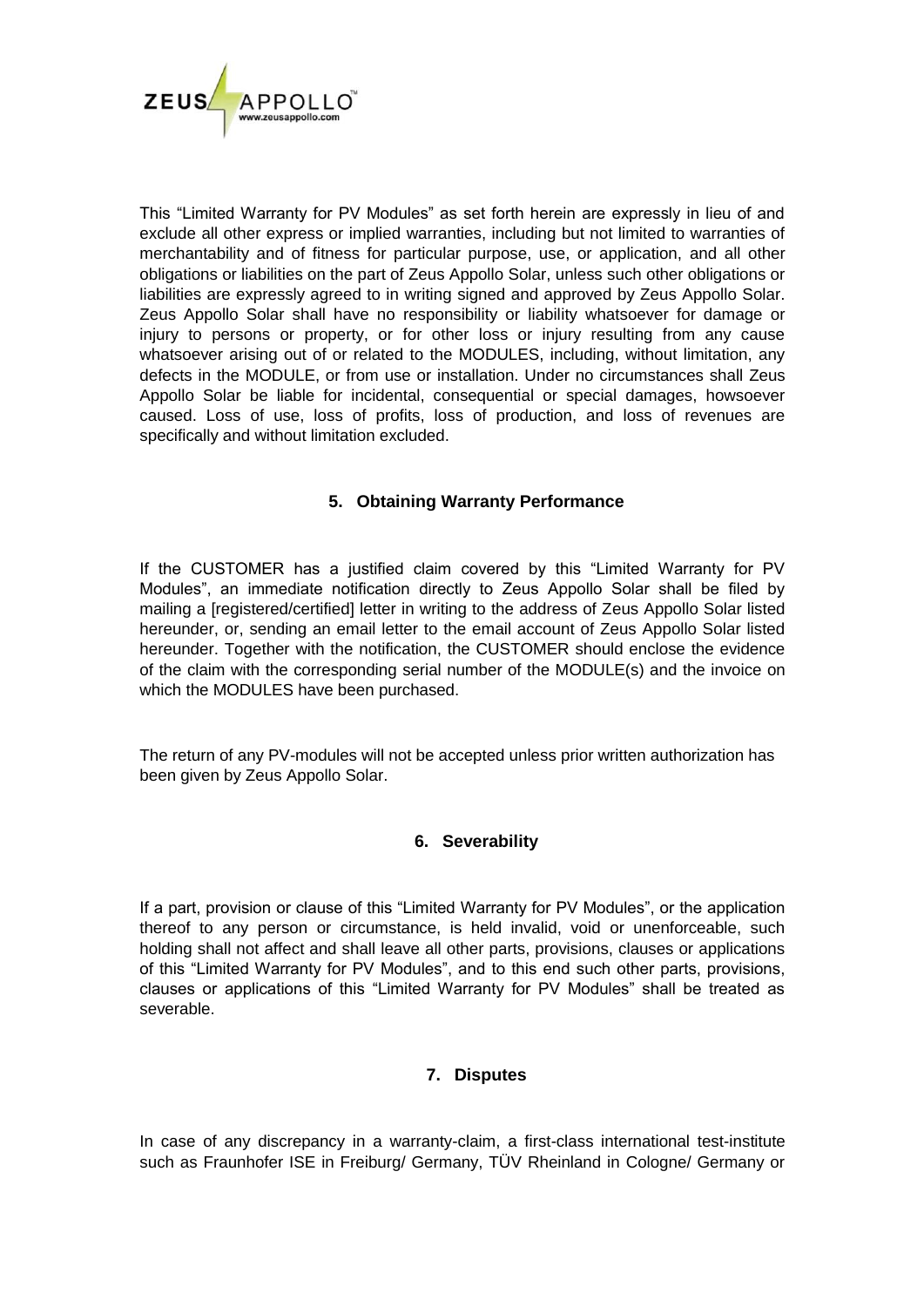

This "Limited Warranty for PV Modules" as set forth herein are expressly in lieu of and exclude all other express or implied warranties, including but not limited to warranties of merchantability and of fitness for particular purpose, use, or application, and all other obligations or liabilities on the part of Zeus Appollo Solar, unless such other obligations or liabilities are expressly agreed to in writing signed and approved by Zeus Appollo Solar. Zeus Appollo Solar shall have no responsibility or liability whatsoever for damage or injury to persons or property, or for other loss or injury resulting from any cause whatsoever arising out of or related to the MODULES, including, without limitation, any defects in the MODULE, or from use or installation. Under no circumstances shall Zeus Appollo Solar be liable for incidental, consequential or special damages, howsoever caused. Loss of use, loss of profits, loss of production, and loss of revenues are specifically and without limitation excluded.

### **5. Obtaining Warranty Performance**

If the CUSTOMER has a justified claim covered by this "Limited Warranty for PV Modules", an immediate notification directly to Zeus Appollo Solar shall be filed by mailing a [registered/certified] letter in writing to the address of Zeus Appollo Solar listed hereunder, or, sending an email letter to the email account of Zeus Appollo Solar listed hereunder. Together with the notification, the CUSTOMER should enclose the evidence of the claim with the corresponding serial number of the MODULE(s) and the invoice on which the MODULES have been purchased.

The return of any PV-modules will not be accepted unless prior written authorization has been given by Zeus Appollo Solar.

#### **6. Severability**

If a part, provision or clause of this "Limited Warranty for PV Modules", or the application thereof to any person or circumstance, is held invalid, void or unenforceable, such holding shall not affect and shall leave all other parts, provisions, clauses or applications of this "Limited Warranty for PV Modules", and to this end such other parts, provisions, clauses or applications of this "Limited Warranty for PV Modules" shall be treated as severable.

#### **7. Disputes**

In case of any discrepancy in a warranty-claim, a first-class international test-institute such as Fraunhofer ISE in Freiburg/ Germany, TÜV Rheinland in Cologne/ Germany or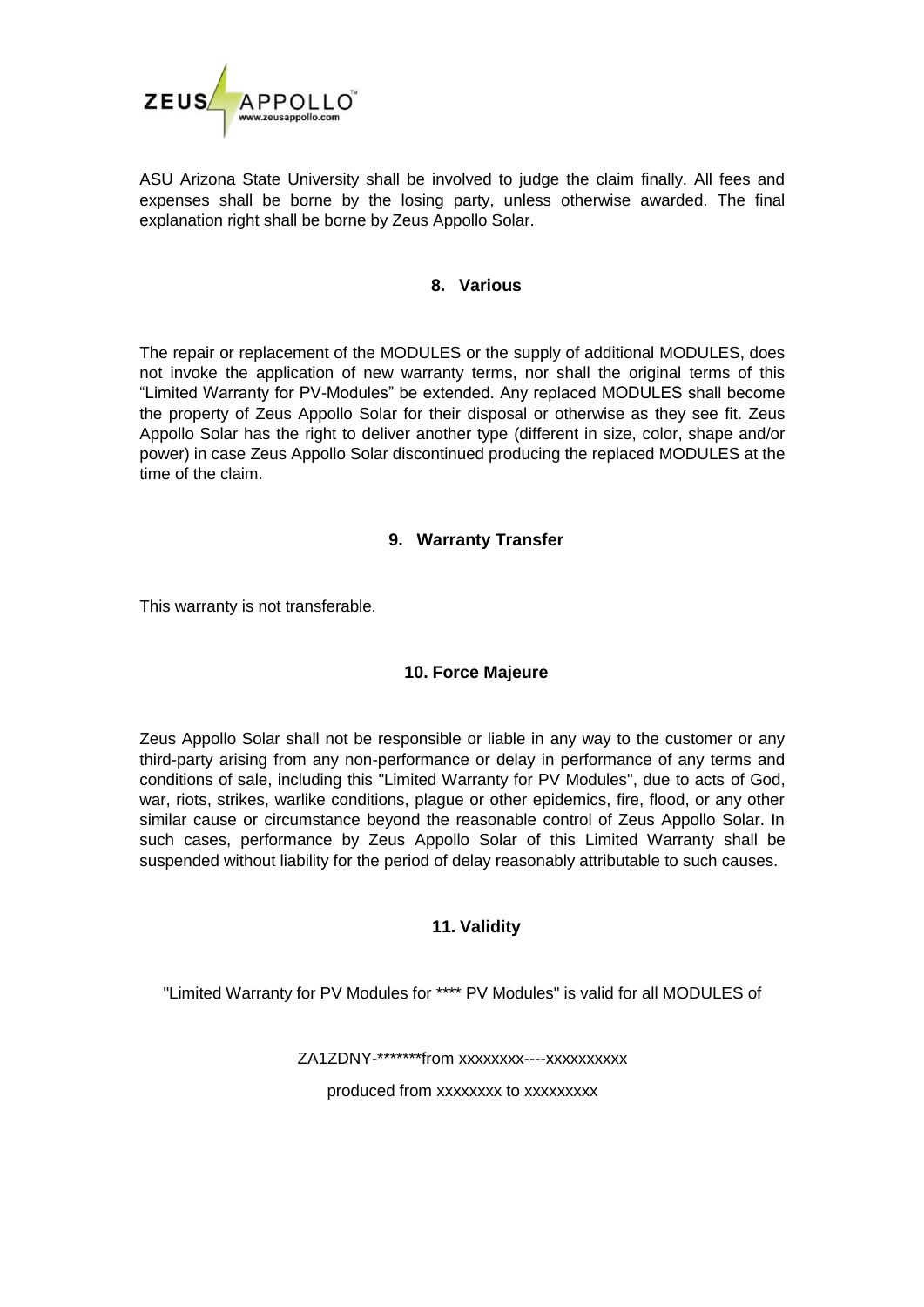

ASU Arizona State University shall be involved to judge the claim finally. All fees and expenses shall be borne by the losing party, unless otherwise awarded. The final explanation right shall be borne by Zeus Appollo Solar.

#### **8. Various**

The repair or replacement of the MODULES or the supply of additional MODULES, does not invoke the application of new warranty terms, nor shall the original terms of this "Limited Warranty for PV-Modules" be extended. Any replaced MODULES shall become the property of Zeus Appollo Solar for their disposal or otherwise as they see fit. Zeus Appollo Solar has the right to deliver another type (different in size, color, shape and/or power) in case Zeus Appollo Solar discontinued producing the replaced MODULES at the time of the claim.

#### **9. Warranty Transfer**

This warranty is not transferable.

#### **10. Force Majeure**

Zeus Appollo Solar shall not be responsible or liable in any way to the customer or any third-party arising from any non-performance or delay in performance of any terms and conditions of sale, including this "Limited Warranty for PV Modules", due to acts of God, war, riots, strikes, warlike conditions, plague or other epidemics, fire, flood, or any other similar cause or circumstance beyond the reasonable control of Zeus Appollo Solar. In such cases, performance by Zeus Appollo Solar of this Limited Warranty shall be suspended without liability for the period of delay reasonably attributable to such causes.

#### **11. Validity**

"Limited Warranty for PV Modules for \*\*\*\* PV Modules" is valid for all MODULES of

ZA1ZDNY-\*\*\*\*\*\*\*from xxxxxxxx----xxxxxxxxxx

produced from xxxxxxxx to xxxxxxxxx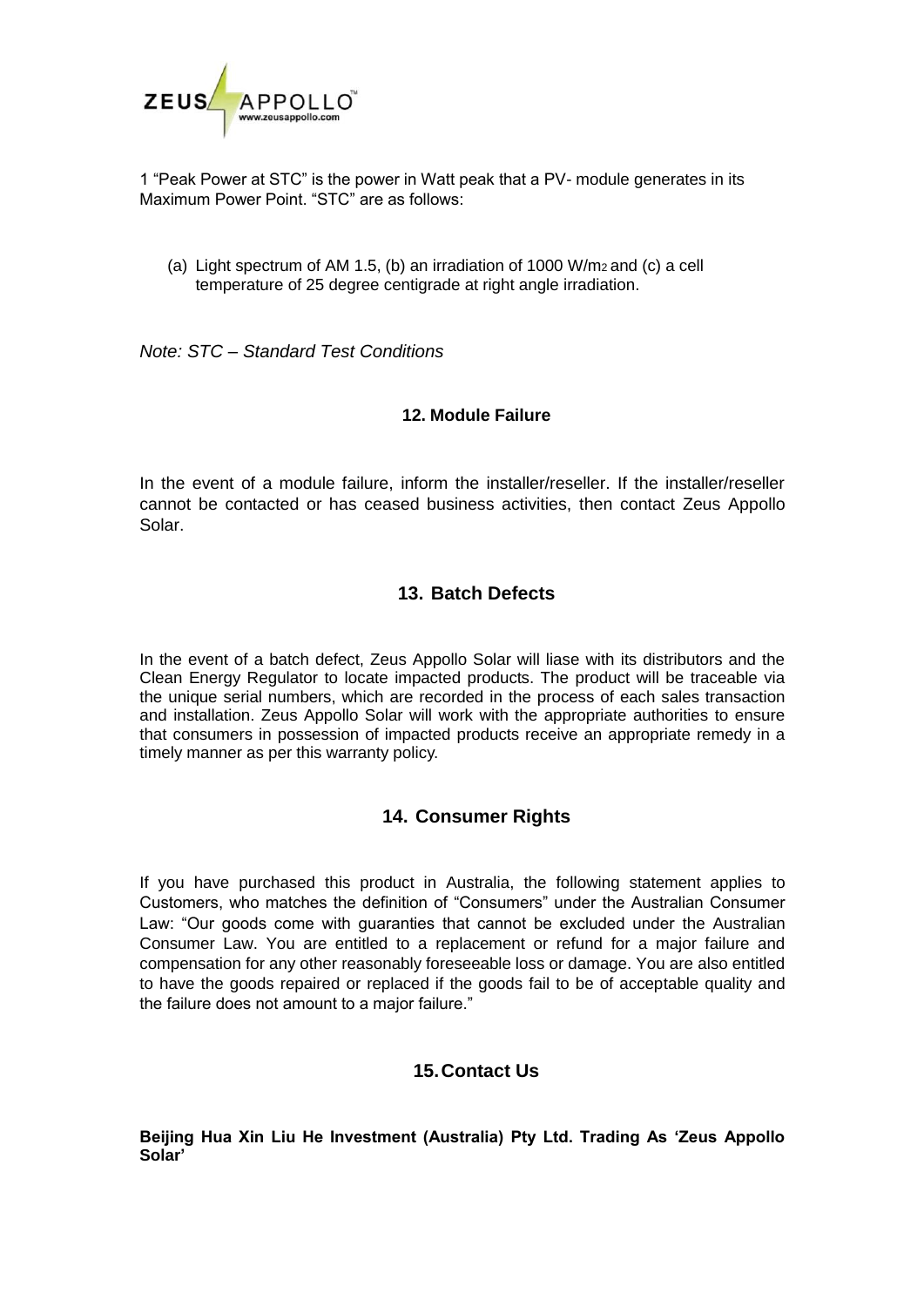

1 "Peak Power at STC" is the power in Watt peak that a PV- module generates in its Maximum Power Point. "STC" are as follows:

(a) Light spectrum of AM 1.5, (b) an irradiation of 1000 W/m2 and (c) a cell temperature of 25 degree centigrade at right angle irradiation.

*Note: STC – Standard Test Conditions* 

#### **12. Module Failure**

In the event of a module failure, inform the installer/reseller. If the installer/reseller cannot be contacted or has ceased business activities, then contact Zeus Appollo Solar.

### **13. Batch Defects**

In the event of a batch defect, Zeus Appollo Solar will liase with its distributors and the Clean Energy Regulator to locate impacted products. The product will be traceable via the unique serial numbers, which are recorded in the process of each sales transaction and installation. Zeus Appollo Solar will work with the appropriate authorities to ensure that consumers in possession of impacted products receive an appropriate remedy in a timely manner as per this warranty policy.

## **14. Consumer Rights**

If you have purchased this product in Australia, the following statement applies to Customers, who matches the definition of "Consumers" under the Australian Consumer Law: "Our goods come with guaranties that cannot be excluded under the Australian Consumer Law. You are entitled to a replacement or refund for a major failure and compensation for any other reasonably foreseeable loss or damage. You are also entitled to have the goods repaired or replaced if the goods fail to be of acceptable quality and the failure does not amount to a major failure."

## **15.Contact Us**

**Beijing Hua Xin Liu He Investment (Australia) Pty Ltd. Trading As 'Zeus Appollo Solar'**